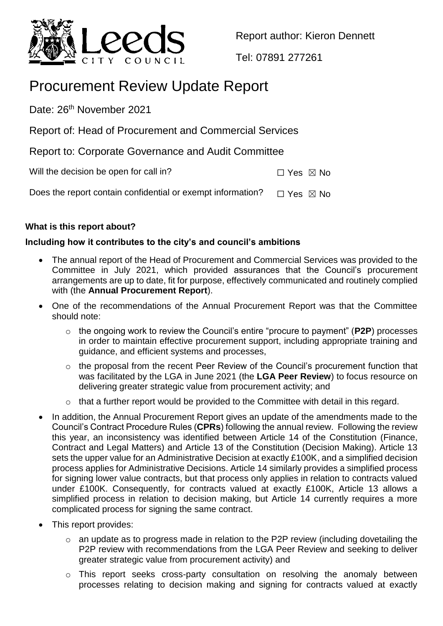

Report author: Kieron Dennett

Tel: 07891 277261

# Procurement Review Update Report

Date: 26<sup>th</sup> November 2021

Report of: Head of Procurement and Commercial Services

Report to: Corporate Governance and Audit Committee

Will the decision be open for call in?  $\Box$  Yes  $\boxtimes$  No

Does the report contain confidential or exempt information?  $\Box$  Yes  $\boxtimes$  No

# **What is this report about?**

# **Including how it contributes to the city's and council's ambitions**

- The annual report of the Head of Procurement and Commercial Services was provided to the Committee in July 2021, which provided assurances that the Council's procurement arrangements are up to date, fit for purpose, effectively communicated and routinely complied with (the **Annual Procurement Report**).
- One of the recommendations of the Annual Procurement Report was that the Committee should note:
	- o the ongoing work to review the Council's entire "procure to payment" (**P2P**) processes in order to maintain effective procurement support, including appropriate training and guidance, and efficient systems and processes,
	- o the proposal from the recent Peer Review of the Council's procurement function that was facilitated by the LGA in June 2021 (the **LGA Peer Review**) to focus resource on delivering greater strategic value from procurement activity; and
	- o that a further report would be provided to the Committee with detail in this regard.
- In addition, the Annual Procurement Report gives an update of the amendments made to the Council's Contract Procedure Rules (**CPRs**) following the annual review. Following the review this year, an inconsistency was identified between Article 14 of the Constitution (Finance, Contract and Legal Matters) and Article 13 of the Constitution (Decision Making). Article 13 sets the upper value for an Administrative Decision at exactly £100K, and a simplified decision process applies for Administrative Decisions. Article 14 similarly provides a simplified process for signing lower value contracts, but that process only applies in relation to contracts valued under £100K. Consequently, for contracts valued at exactly £100K, Article 13 allows a simplified process in relation to decision making, but Article 14 currently requires a more complicated process for signing the same contract.
- This report provides:
	- o an update as to progress made in relation to the P2P review (including dovetailing the P2P review with recommendations from the LGA Peer Review and seeking to deliver greater strategic value from procurement activity) and
	- o This report seeks cross-party consultation on resolving the anomaly between processes relating to decision making and signing for contracts valued at exactly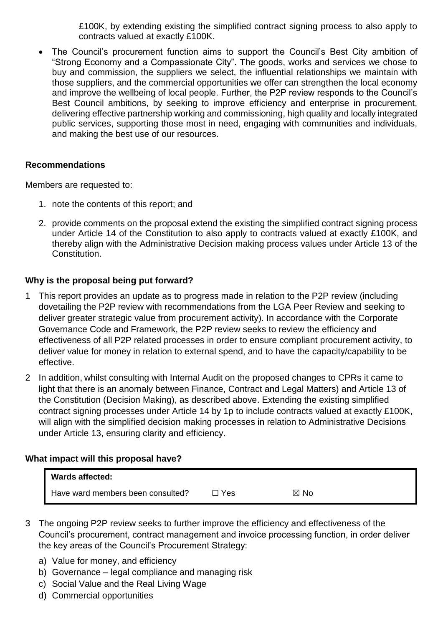£100K, by extending existing the simplified contract signing process to also apply to contracts valued at exactly £100K.

• The Council's procurement function aims to support the Council's Best City ambition of "Strong Economy and a Compassionate City". The goods, works and services we chose to buy and commission, the suppliers we select, the influential relationships we maintain with those suppliers, and the commercial opportunities we offer can strengthen the local economy and improve the wellbeing of local people. Further, the P2P review responds to the Council's Best Council ambitions, by seeking to improve efficiency and enterprise in procurement, delivering effective partnership working and commissioning, high quality and locally integrated public services, supporting those most in need, engaging with communities and individuals, and making the best use of our resources.

# **Recommendations**

Members are requested to:

- 1. note the contents of this report; and
- 2. provide comments on the proposal extend the existing the simplified contract signing process under Article 14 of the Constitution to also apply to contracts valued at exactly £100K, and thereby align with the Administrative Decision making process values under Article 13 of the Constitution.

# **Why is the proposal being put forward?**

- 1 This report provides an update as to progress made in relation to the P2P review (including dovetailing the P2P review with recommendations from the LGA Peer Review and seeking to deliver greater strategic value from procurement activity). In accordance with the Corporate Governance Code and Framework, the P2P review seeks to review the efficiency and effectiveness of all P2P related processes in order to ensure compliant procurement activity, to deliver value for money in relation to external spend, and to have the capacity/capability to be effective.
- 2 In addition, whilst consulting with Internal Audit on the proposed changes to CPRs it came to light that there is an anomaly between Finance, Contract and Legal Matters) and Article 13 of the Constitution (Decision Making), as described above. Extending the existing simplified contract signing processes under Article 14 by 1p to include contracts valued at exactly £100K, will align with the simplified decision making processes in relation to Administrative Decisions under Article 13, ensuring clarity and efficiency.

# **What impact will this proposal have?**

| <b>Wards affected:</b>            |       |                |
|-----------------------------------|-------|----------------|
| Have ward members been consulted? | ∃ Yes | $\boxtimes$ No |

- 3 The ongoing P2P review seeks to further improve the efficiency and effectiveness of the Council's procurement, contract management and invoice processing function, in order deliver the key areas of the Council's Procurement Strategy:
	- a) Value for money, and efficiency
	- b) Governance legal compliance and managing risk
	- c) Social Value and the Real Living Wage
	- d) Commercial opportunities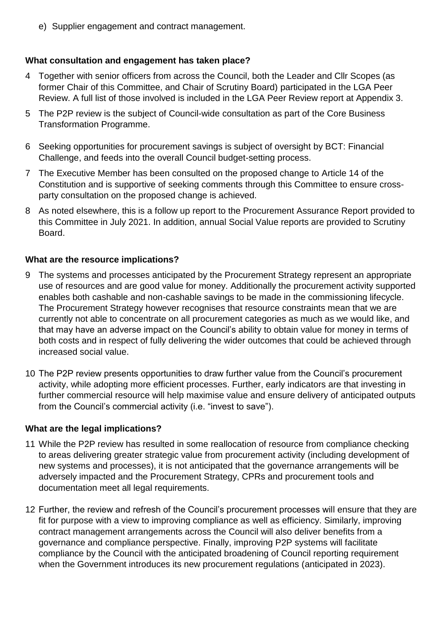e) Supplier engagement and contract management.

# **What consultation and engagement has taken place?**

- 4 Together with senior officers from across the Council, both the Leader and Cllr Scopes (as former Chair of this Committee, and Chair of Scrutiny Board) participated in the LGA Peer Review. A full list of those involved is included in the LGA Peer Review report at Appendix 3.
- 5 The P2P review is the subject of Council-wide consultation as part of the Core Business Transformation Programme.
- 6 Seeking opportunities for procurement savings is subject of oversight by BCT: Financial Challenge, and feeds into the overall Council budget-setting process.
- 7 The Executive Member has been consulted on the proposed change to Article 14 of the Constitution and is supportive of seeking comments through this Committee to ensure crossparty consultation on the proposed change is achieved.
- 8 As noted elsewhere, this is a follow up report to the Procurement Assurance Report provided to this Committee in July 2021. In addition, annual Social Value reports are provided to Scrutiny Board.

#### **What are the resource implications?**

- 9 The systems and processes anticipated by the Procurement Strategy represent an appropriate use of resources and are good value for money. Additionally the procurement activity supported enables both cashable and non-cashable savings to be made in the commissioning lifecycle. The Procurement Strategy however recognises that resource constraints mean that we are currently not able to concentrate on all procurement categories as much as we would like, and that may have an adverse impact on the Council's ability to obtain value for money in terms of both costs and in respect of fully delivering the wider outcomes that could be achieved through increased social value.
- 10 The P2P review presents opportunities to draw further value from the Council's procurement activity, while adopting more efficient processes. Further, early indicators are that investing in further commercial resource will help maximise value and ensure delivery of anticipated outputs from the Council's commercial activity (i.e. "invest to save").

# **What are the legal implications?**

- 11 While the P2P review has resulted in some reallocation of resource from compliance checking to areas delivering greater strategic value from procurement activity (including development of new systems and processes), it is not anticipated that the governance arrangements will be adversely impacted and the Procurement Strategy, CPRs and procurement tools and documentation meet all legal requirements.
- 12 Further, the review and refresh of the Council's procurement processes will ensure that they are fit for purpose with a view to improving compliance as well as efficiency. Similarly, improving contract management arrangements across the Council will also deliver benefits from a governance and compliance perspective. Finally, improving P2P systems will facilitate compliance by the Council with the anticipated broadening of Council reporting requirement when the Government introduces its new procurement regulations (anticipated in 2023).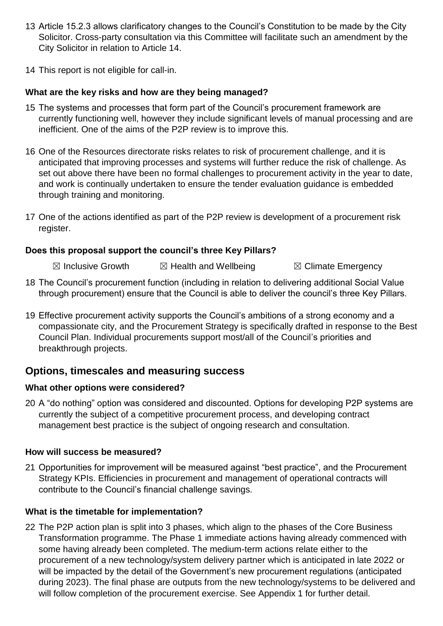- 13 Article 15.2.3 allows clarificatory changes to the Council's Constitution to be made by the City Solicitor. Cross-party consultation via this Committee will facilitate such an amendment by the City Solicitor in relation to Article 14.
- 14 This report is not eligible for call-in.

# **What are the key risks and how are they being managed?**

- 15 The systems and processes that form part of the Council's procurement framework are currently functioning well, however they include significant levels of manual processing and are inefficient. One of the aims of the P2P review is to improve this.
- 16 One of the Resources directorate risks relates to risk of procurement challenge, and it is anticipated that improving processes and systems will further reduce the risk of challenge. As set out above there have been no formal challenges to procurement activity in the year to date, and work is continually undertaken to ensure the tender evaluation guidance is embedded through training and monitoring.
- 17 One of the actions identified as part of the P2P review is development of a procurement risk register.

# **Does this proposal support the council's three Key Pillars?**

- $\boxtimes$  Inclusive Growth  $\boxtimes$  Health and Wellbeing  $\boxtimes$  Climate Emergency
- 18 The Council's procurement function (including in relation to delivering additional Social Value through procurement) ensure that the Council is able to deliver the council's three Key Pillars.
- 19 Effective procurement activity supports the Council's ambitions of a strong economy and a compassionate city, and the Procurement Strategy is specifically drafted in response to the Best Council Plan. Individual procurements support most/all of the Council's priorities and breakthrough projects.

# **Options, timescales and measuring success**

# **What other options were considered?**

20 A "do nothing" option was considered and discounted. Options for developing P2P systems are currently the subject of a competitive procurement process, and developing contract management best practice is the subject of ongoing research and consultation.

# **How will success be measured?**

21 Opportunities for improvement will be measured against "best practice", and the Procurement Strategy KPIs. Efficiencies in procurement and management of operational contracts will contribute to the Council's financial challenge savings.

# **What is the timetable for implementation?**

22 The P2P action plan is split into 3 phases, which align to the phases of the Core Business Transformation programme. The Phase 1 immediate actions having already commenced with some having already been completed. The medium-term actions relate either to the procurement of a new technology/system delivery partner which is anticipated in late 2022 or will be impacted by the detail of the Government's new procurement regulations (anticipated during 2023). The final phase are outputs from the new technology/systems to be delivered and will follow completion of the procurement exercise. See Appendix 1 for further detail.